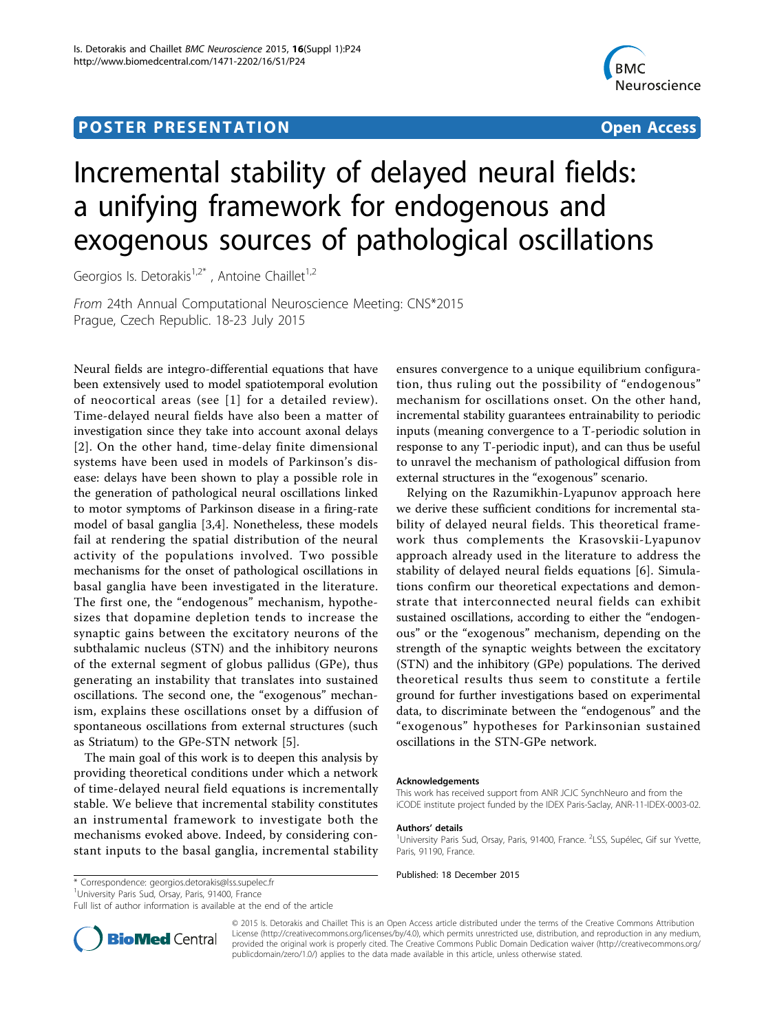# **POSTER PRESENTATION CONSUMING THE SERVICE SERVICE SERVICES**



# Incremental stability of delayed neural fields: a unifying framework for endogenous and exogenous sources of pathological oscillations

Georgios Is. Detorakis<sup>1,2\*</sup>, Antoine Chaillet<sup>1,2</sup>

From 24th Annual Computational Neuroscience Meeting: CNS\*2015 Prague, Czech Republic. 18-23 July 2015

Neural fields are integro-differential equations that have been extensively used to model spatiotemporal evolution of neocortical areas (see [[1\]](#page-1-0) for a detailed review). Time-delayed neural fields have also been a matter of investigation since they take into account axonal delays [[2](#page-1-0)]. On the other hand, time-delay finite dimensional systems have been used in models of Parkinson's disease: delays have been shown to play a possible role in the generation of pathological neural oscillations linked to motor symptoms of Parkinson disease in a firing-rate model of basal ganglia [[3,4](#page-1-0)]. Nonetheless, these models fail at rendering the spatial distribution of the neural activity of the populations involved. Two possible mechanisms for the onset of pathological oscillations in basal ganglia have been investigated in the literature. The first one, the "endogenous" mechanism, hypothesizes that dopamine depletion tends to increase the synaptic gains between the excitatory neurons of the subthalamic nucleus (STN) and the inhibitory neurons of the external segment of globus pallidus (GPe), thus generating an instability that translates into sustained oscillations. The second one, the "exogenous" mechanism, explains these oscillations onset by a diffusion of spontaneous oscillations from external structures (such as Striatum) to the GPe-STN network [[5\]](#page-1-0).

The main goal of this work is to deepen this analysis by providing theoretical conditions under which a network of time-delayed neural field equations is incrementally stable. We believe that incremental stability constitutes an instrumental framework to investigate both the mechanisms evoked above. Indeed, by considering constant inputs to the basal ganglia, incremental stability

ensures convergence to a unique equilibrium configuration, thus ruling out the possibility of "endogenous" mechanism for oscillations onset. On the other hand, incremental stability guarantees entrainability to periodic inputs (meaning convergence to a T-periodic solution in response to any T-periodic input), and can thus be useful to unravel the mechanism of pathological diffusion from external structures in the "exogenous" scenario.

Relying on the Razumikhin-Lyapunov approach here we derive these sufficient conditions for incremental stability of delayed neural fields. This theoretical framework thus complements the Krasovskii-Lyapunov approach already used in the literature to address the stability of delayed neural fields equations [[6\]](#page-1-0). Simulations confirm our theoretical expectations and demonstrate that interconnected neural fields can exhibit sustained oscillations, according to either the "endogenous" or the "exogenous" mechanism, depending on the strength of the synaptic weights between the excitatory (STN) and the inhibitory (GPe) populations. The derived theoretical results thus seem to constitute a fertile ground for further investigations based on experimental data, to discriminate between the "endogenous" and the "exogenous" hypotheses for Parkinsonian sustained oscillations in the STN-GPe network.

### Acknowledgements

This work has received support from ANR JCJC SynchNeuro and from the iCODE institute project funded by the IDEX Paris-Saclay, ANR-11-IDEX-0003-02.

#### Authors' details <sup>1</sup>

University Paris Sud, Orsay, Paris, 91400, France. <sup>2</sup>LSS, Supélec, Gif sur Yvette, Paris, 91190, France.

Published: 18 December 2015

\* Correspondence: [georgios.detorakis@lss.supelec.fr](mailto:georgios.detorakis@lss.supelec.fr) <sup>1</sup>University Paris Sud, Orsay, Paris, 91400, France

Full list of author information is available at the end of the article



© 2015 Is. Detorakis and Chaillet This is an Open Access article distributed under the terms of the Creative Commons Attribution License [\(http://creativecommons.org/licenses/by/4.0](http://creativecommons.org/licenses/by/4.0)), which permits unrestricted use, distribution, and reproduction in any medium, provided the original work is properly cited. The Creative Commons Public Domain Dedication waiver ([http://creativecommons.org/](http://creativecommons.org/publicdomain/zero/1.0/) [publicdomain/zero/1.0/](http://creativecommons.org/publicdomain/zero/1.0/)) applies to the data made available in this article, unless otherwise stated.